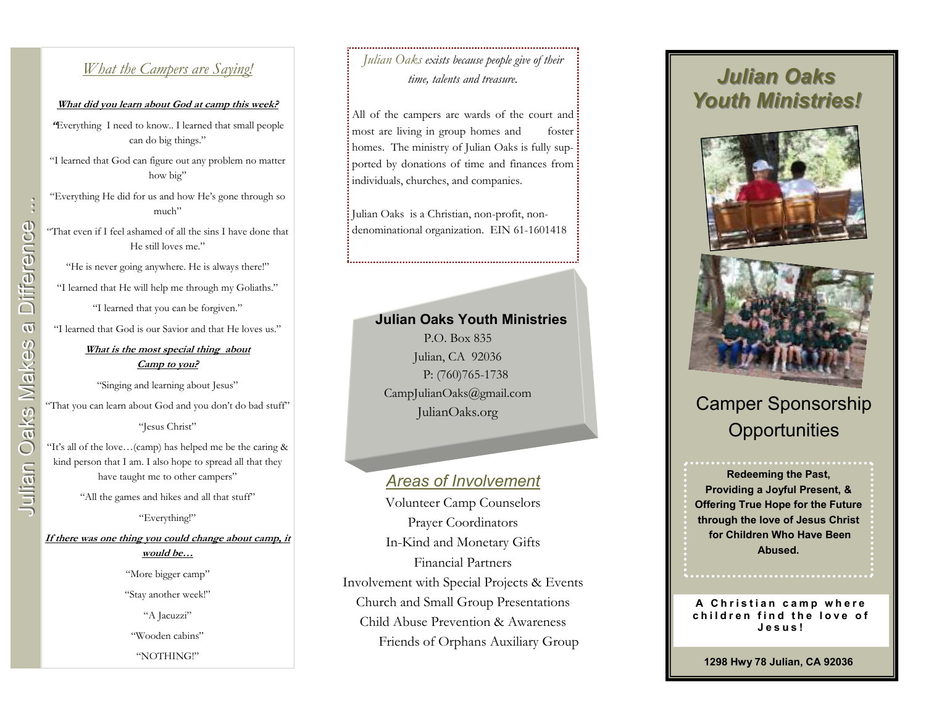### *What the Campers are Saying!*

#### **What did you learn about God at camp this week?**

**"**Everything I need to know.. I learned that small people can do big things."

"I learned that God can figure out any problem no matter how big"

"Everything He did for us and how He's gone through so much"

"That even if I feel ashamed of all the sins I have done that He still loves me."

"He is never going anywhere. He is always there!"

"I learned that He will help me through my Goliaths."

"I learned that you can be forgiven."

"I learned that God is our Savior and that He loves us."

#### **What is the most special thing about Camp to you?**

"Singing and learning about Jesus"

"That you can learn about God and you don't do bad stuff"

"Jesus Christ"

"It's all of the love…(camp) has helped me be the caring & kind person that I am. I also hope to spread all that they have taught me to other campers"

"All the games and hikes and all that stuff"

"Everything!"

**If there was one thing you could change about camp, it would be…**

> "More bigger camp" "Stay another week!" "A Jacuzzi" "Wooden cabins" "NOTHING!"

## *Julian Oaks exists because people give of their time, talents and treasure.*

All of the campers are wards of the court and : most are living in group homes and foster homes. The ministry of Julian Oaks is fully supported by donations of time and finances from individuals, churches, and companies.

Julian Oaks is a Christian, non-profit, nondenominational organization. EIN 61-1601418

#### **Julian Oaks Youth Ministries**

P.O. Box 835 Julian, CA 92036 P: (760)765-1738 CampJulianOaks@gmail.com JulianOaks.org

### *Areas of Involvement*

Volunteer Camp Counselors Prayer Coordinators In-Kind and Monetary Gifts Financial Partners Involvement with Special Projects & Events Church and Small Group Presentations Child Abuse Prevention & Awareness Friends of Orphans Auxiliary Group

# *Julian Oaks Youth Ministries!*





# Camper Sponsorship **Opportunities**

#### **Redeeming the Past, Providing a Joyful Present, & Offering True Hope for the Future through the love of Jesus Christ for Children Who Have Been Abused.**

#### A Christian camp where children find the love of **<sup>J</sup> <sup>e</sup> <sup>s</sup> <sup>u</sup> <sup>s</sup> !**

**1298 Hwy 78 Julian, CA 92036**